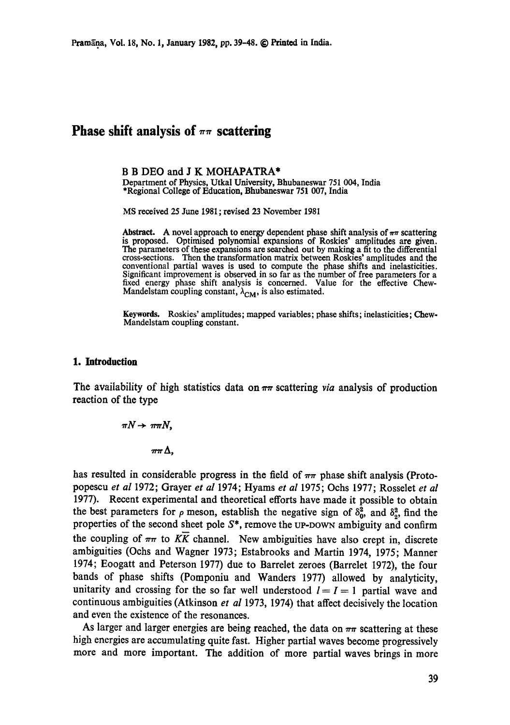# **Phase shift analysis of**  $\pi\pi$  **scattering**

#### B B DEO and J K MOHAPATRA\*

Department of Physics, Utkal University, Bhubaneswar 751 004, India \*Regional College of Education, Bhubaneswar 751 007, India

MS received 25 June 1981; revised 23 November 1981

Abstract. A novel approach to energy dependent phase shift analysis of  $\pi\pi$  scattering is proposed. Optimised polynomial expansions of Roskies' amplitudes are given. The parameters of these expansions are searched out by making a fit to the differential cross-sections. Then the transformation matrix between Roskies' amplitudes and **the**  conventional partial waves is used to compute the phase shifts and inelasticities. Significant improvement is observed in so far as the number of free parameters for a fixed energy phase shift analysis is concerned. Value for the effective Chew-Mandelstam coupling constant,  $\lambda_{CM}$ , is also estimated.

**Keywords.** Roskies' amplitudes; mapped variables; phase shifts; inelasticities; Chew-Mandelstam coupling constant.

## **1. Introduction**

The availability of high statistics data on  $\pi\pi$  scattering *via* analysis of production reaction of the type

> $\pi N \rightarrow \pi \pi N$ ,  $\pi\pi\Delta$ .

has resulted in considerable progress in the field of  $\pi\pi$  phase shift analysis (Protopopescu *et al* 1972; Grayer *et al* 1974; Hyams *et al* 1975; Ochs 1977; Rosselet *et al*  1977). Recent experimental and theoretical efforts have made it possible to obtain the best parameters for  $\rho$  meson, establish the negative sign of  $\delta_0^2$ , and  $\delta_2^2$ , find the properties of the second sheet pole  $S^*$ , remove the UP-DOWN ambiguity and confirm the coupling of  $\pi\pi$  to  $K\bar{K}$  channel. New ambiguities have also crept in, discrete ambiguities (Oehs and Wagner 1973; Estabrooks and Martin 1974, 1975; Manner 1974; Eoogatt and Peterson 1977) due to Barrelet zeroes (Barrelet 1972), the four bands of phase shifts (Pomponiu and Wanders 1977) allowed by analyticity, unitarity and crossing for the so far well understood  $l = I = 1$  partial wave and continuous ambiguities (Atkinson *et al* 1973, 1974) that affect decisively the location and even the existence of the resonances.

As larger and larger energies are being reached, the data on  $\pi\pi$  scattering at these high energies are accumulating quite fast. Higher partial waves become progressively more and more important. The addition of more partial waves brings in more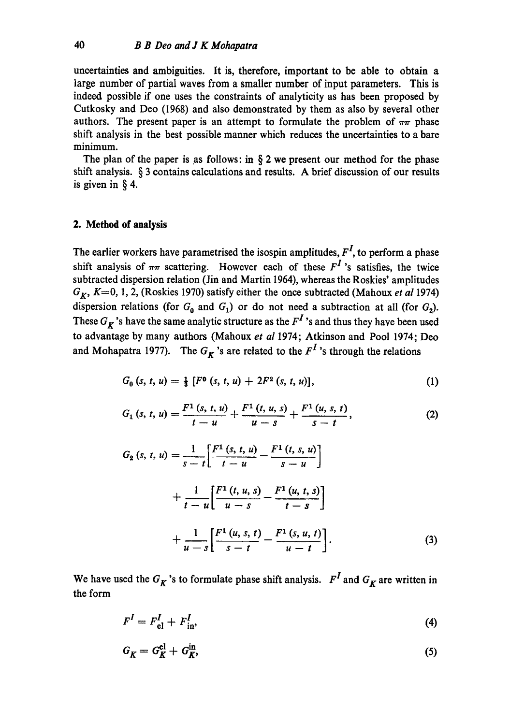uncertainties and ambiguities. It is, therefore, important to be able to obtain a large number of partial waves from a smaller number of input parameters. This is indeed possible if one uses the constraints of analyticity as has been proposed by Cutkosky and Dee (1968) and also demonstrated by them as also by several other authors. The present paper is an attempt to formulate the problem of  $\pi\pi$  phase shift analysis in the best possible manner which reduces the uncertainties to a bare minimum.

The plan of the paper is as follows: in  $\S 2$  we present our method for the phase shift analysis. § 3 contains calculations and results. A brief discussion of our results is given in § 4.

## **2. Method of analysis**

The earlier workers have parametrised the isospin amplitudes,  $F<sup>I</sup>$ , to perform a phase shift analysis of  $\pi\pi$  scattering. However each of these  $F^I$  's satisfies, the twice subtracted dispersion relation (Jin and Martin 1964), whereas the Roskies' amplitudes *GK, K--O,* 1, 2, (Roskies 1970) satisfy either the once subtracted (Mahoux *et al* 1974) dispersion relations (for  $G_0$  and  $G_1$ ) or do not need a subtraction at all (for  $G_2$ ). These  $G_K$ 's have the same analytic structure as the  $F^I$ 's and thus they have been used to advantage by many authors (Mahoux *et al* 1974; Atkinson and Pool 1974; Dee and Mohapatra 1977). The  $G_K$ 's are related to the  $F^I$ 's through the relations

$$
G_0(s, t, u) = \frac{1}{3} [F^0(s, t, u) + 2F^2(s, t, u)], \qquad (1)
$$

$$
G_1(s, t, u) = \frac{F^1(s, t, u)}{t - u} + \frac{F^1(t, u, s)}{u - s} + \frac{F^1(u, s, t)}{s - t},
$$
\n(2)

$$
G_2(s, t, u) = \frac{1}{s - t} \left[ \frac{F^1(s, t, u)}{t - u} - \frac{F^1(t, s, u)}{s - u} \right] + \frac{1}{t - u} \left[ \frac{F^1(t, u, s)}{u - s} - \frac{F^1(u, t, s)}{t - s} \right] + \frac{1}{u - s} \left[ \frac{F^1(u, s, t)}{s - t} - \frac{F^1(s, u, t)}{u - t} \right].
$$
 (3)

We have used the  $G_K$ 's to formulate phase shift analysis.  $F^I$  and  $G_K$  are written in the form

$$
F^I = F_{\text{el}}^I + F_{\text{in}}^I,\tag{4}
$$

$$
G_K = G_K^{\rm el} + G_K^{\rm in},\tag{5}
$$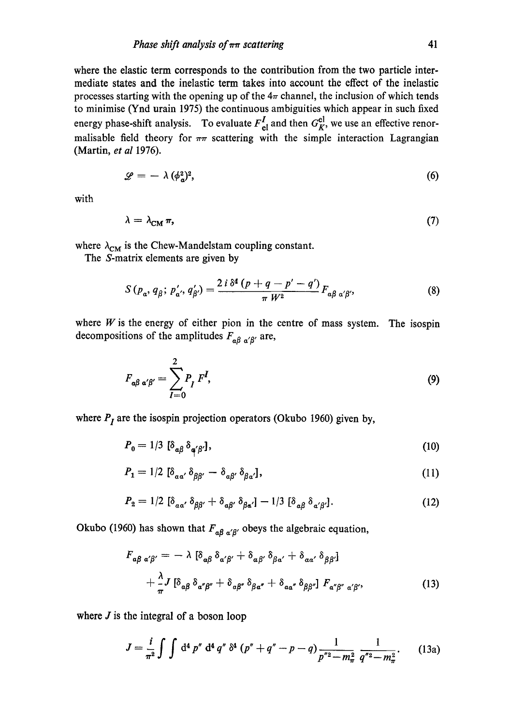where the elastic term corresponds to the contribution from the two particle intermediate states and the inelastic term takes into account the effect of the inelastic processes starting with the opening up of the  $4\pi$  channel, the inclusion of which tends to minimise (Ynd urain 1975) the continuous ambiguities which appear in such fixed energy phase-shift analysis. To evaluate  $F_{el}^I$  and then  $G_K^{el}$ , we use an effective renormalisable field theory for  $\pi\pi$  scattering with the simple interaction Lagrangian (Martin, *et al* 1976).

$$
\mathscr{L} = -\lambda \, (\phi_{\mathfrak{a}}^2)^2, \tag{6}
$$

with

$$
\lambda = \lambda_{\rm CM} \, \pi,\tag{7}
$$

where  $\lambda_{CM}$  is the Chew-Mandelstam coupling constant.

The S-matrix elements are given by

$$
S(p_a, q_\beta; p'_{a'}, q'_{\beta'}) = \frac{2 i \,\delta^4 (p + q - p' - q')}{\pi \, W^2} F_{a\beta \, a'\beta'},\tag{8}
$$

where  $W$  is the energy of either pion in the centre of mass system. The isospin decompositions of the amplitudes  $F_{\alpha\beta\alpha'}$  are,

$$
F_{\alpha\beta \alpha'\beta'} = \sum_{I=0}^{2} P_I F^I,
$$
\n(9)

where  $P_I$  are the isospin projection operators (Okubo 1960) given by,

$$
P_0 = 1/3 \left[ \delta_{\alpha\beta} \, \delta_{\alpha'\beta'} \right],\tag{10}
$$

$$
P_1 = 1/2 \left[ \delta_{\alpha \alpha'} \delta_{\beta \beta'} - \delta_{\alpha \beta'} \delta_{\beta \alpha'} \right], \tag{11}
$$

$$
P_2 = 1/2 \left[ \delta_{\alpha\alpha'} \, \delta_{\beta\beta'} + \delta_{\alpha\beta'} \, \delta_{\beta\alpha'} \right] - 1/3 \left[ \delta_{\alpha\beta} \, \delta_{\alpha'\beta'} \right]. \tag{12}
$$

Okubo (1960) has shown that  $F_{\alpha\beta \alpha'\beta'}$  obeys the algebraic equation,

$$
F_{\alpha\beta \alpha'\beta'} = -\lambda \left[ \delta_{\alpha\beta} \delta_{\alpha'\beta'} + \delta_{\alpha\beta'} \delta_{\beta\alpha'} + \delta_{\alpha\alpha'} \delta_{\beta\beta'} \right] + \frac{\lambda}{\pi} J \left[ \delta_{\alpha\beta} \delta_{\alpha''\beta''} + \delta_{\alpha\beta''} \delta_{\beta\alpha''} + \delta_{\alpha\alpha''} \delta_{\beta\beta'} \right] F_{\alpha''\beta'' \alpha'\beta'},
$$
(13)

where  $J$  is the integral of a boson loop

$$
J = \frac{i}{\pi^2} \int \int d^4 p'' d^4 q'' \, \delta^4 (p'' + q'' - p - q) \frac{1}{p''^2 - m_\pi^2} \frac{1}{q''^2 - m_\pi^2}.
$$
 (13a)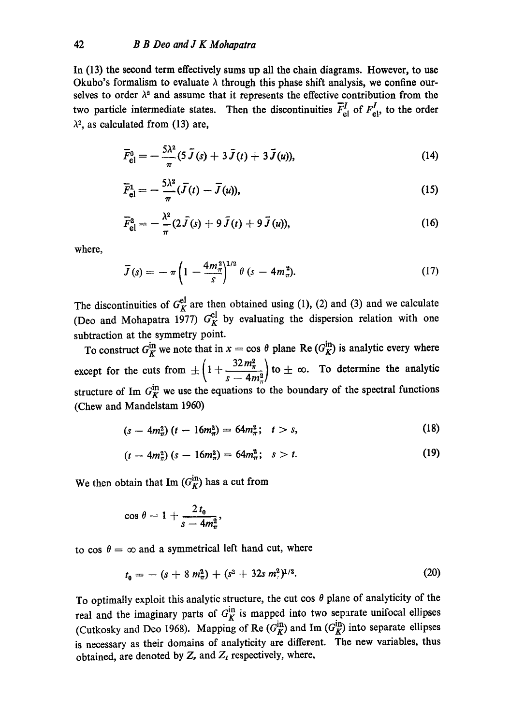In (13) the second term effectively sums up all the chain diagrams. However, to use Okubo's formalism to evaluate  $\lambda$  through this phase shift analysis, we confine ourselves to order  $\lambda^2$  and assume that it represents the effective contribution from the two particle intermediate states. Then the discontinuities  $\bar{F}_{el}^I$  of  $F_{el}^I$ , to the order  $\lambda^2$ , as calculated from (13) are,

$$
\bar{F}_{\text{el}}^{0} = -\frac{5\lambda^{2}}{\pi} (5 \bar{J}(s) + 3 \bar{J}(t) + 3 \bar{J}(u)), \qquad (14)
$$

$$
\overline{F}_{\text{el}}^1 = -\frac{5\lambda^2}{\pi} (\overline{J}(t) - \overline{J}(u)),\tag{15}
$$

$$
\bar{F}_{\text{el}}^2 = -\frac{\lambda^2}{\pi} (2 \bar{J}(s) + 9 \bar{J}(t) + 9 \bar{J}(u)), \qquad (16)
$$

where,

$$
\bar{J}(s) = -\pi \left( 1 - \frac{4m_{\pi}^2}{s} \right)^{1/2} \theta \left( s - 4m_{\pi}^2 \right). \tag{17}
$$

The discontinuities of  $G_K^{\alpha}$  are then obtained using (1), (2) and (3) and we calculate (Deo and Mohapatra 1977)  $G_K^{\{c\}}$  by evaluating the dispersion relation with one subtraction at the symmetry point.

To construct  $G_K^{\text{in}}$  we note that in  $x = \cos \theta$  plane Re  $(G_K^{\text{in}})$  is analytic every where except for the cuts from  $\pm \left( 1 + \frac{32m_{\pi}^2}{4n_{\pi}^2} \right)$  to  $\pm \infty$ . To determine the analytic structure of Im  $G_K^{\text{in}}$  we use the equations to the boundary of the spectral functions (Chew and Mandelstam 1960)

$$
(s - 4m_{\pi}^2)(t - 16m_{\pi}^2) = 64m_{\pi}^2; \quad t > s,
$$
 (18)

$$
(t - 4m_{\pi}^2)(s - 16m_{\pi}^2) = 64m_{\pi}^2; \quad s > t. \tag{19}
$$

We then obtain that Im  $(G_K^{\text{in}})$  has a cut from

$$
\cos\theta=1+\frac{2t_0}{s-4m_\pi^2},
$$

to cos  $\theta = \infty$  and a symmetrical left hand cut, where

$$
t_0 = - (s + 8 m_\pi^2) + (s^2 + 32s m_\pi^2)^{1/2}.
$$
 (20)

To optimally exploit this analytic structure, the cut cos  $\theta$  plane of analyticity of the real and the imaginary parts of  $G_K^{\text{in}}$  is mapped into two separate unifocal ellipses (Cutkosky and Deo 1968). Mapping of Re  $(G_K^{\text{in}})$  and Im  $(G_K^{\text{in}})$  into separate ellipses is necessary as their domains of analyticity are different. The new variables, thus obtained, are denoted by  $Z_r$  and  $Z_i$  respectively, where,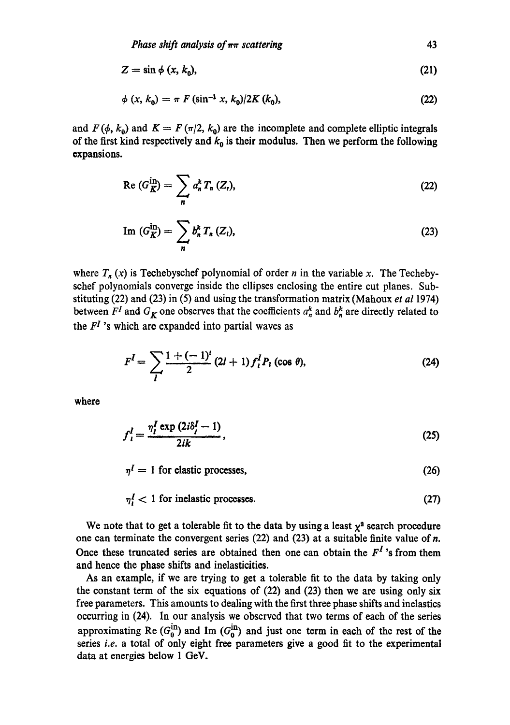$$
Z = \sin \phi \ (x, k_0), \tag{21}
$$

$$
\phi(x, k_0) = \pi F (\sin^{-1} x, k_0) / 2K (k_0), \qquad (22)
$$

and  $F(\phi, k_0)$  and  $K = F(\pi/2, k_0)$  are the incomplete and complete elliptic integrals of the first kind respectively and  $k_0$  is their modulus. Then we perform the following expansions.

$$
\operatorname{Re}\left(G_{\overline{K}}^{\text{in}}\right)=\sum_{n}a_{n}^{k}T_{n}\left(Z_{n}\right),\tag{22}
$$

$$
\text{Im } (G_K^{\text{in}}) = \sum_n b_n^k T_n (Z_i), \tag{23}
$$

where  $T_n(x)$  is Techebyschef polynomial of order n in the variable x. The Techebyschef polynomials converge inside the ellipses enclosing the entire cut planes. Substituting (22) and (23) in (5) and using the transformation matrix (Mahoux *et al* 1974) between  $F^I$  and  $G_K$  one observes that the coefficients  $a_n^k$  and  $b_n^k$  are directly related to the  $F<sup>I</sup>$ 's which are expanded into partial waves as

$$
FI = \sum_{l} \frac{1 + (-1)^{l}}{2} (2l + 1) flI Pl (cos \theta),
$$
 (24)

where

$$
f_i^I = \frac{\eta_i^I \exp\left(2i\delta_i^I - 1\right)}{2ik},\tag{25}
$$

 $\eta^I = 1$  for elastic processes, (26)

 $\eta_1^I$  < 1 for inelastic processes. (27)

We note that to get a tolerable fit to the data by using a least  $\chi^2$  search procedure one can terminate the convergent series (22) and (23) at a suitable finite value of n. Once these truncated series are obtained then one can obtain the  $F<sup>I</sup>$ 's from them and hence the phase shifts and indasticities.

As an example, if we are trying to get a tolerable fit to the data by taking only the constant term of the six equations of (22) and (23) then we are using only six free parameters. This amounts to dealing with the first three phase shifts and inelastics occurring in (24). In our analysis we observed that two terms of each of the series approximating Re  $(G<sub>n</sub><sup>u</sup>)$  and Im  $(G<sub>n</sub><sup>u</sup>)$  and just one term in each of the rest of the series *i.e.* a total of only eight free parameters give a good fit to the experimental data at energies below 1 GcV.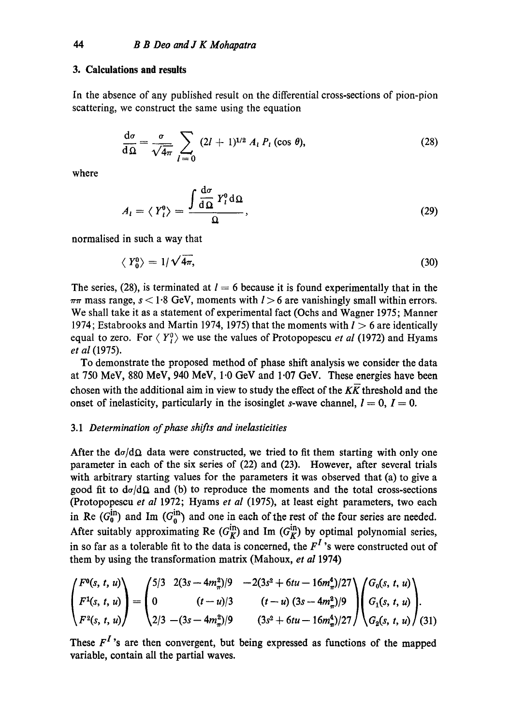## **3. Calculations and results**

In the absence of any published result on the differential cross-sections of pion-pion scattering, we construct the same using the equation

$$
\frac{d\sigma}{d\Omega} = \frac{\sigma}{\sqrt{4\pi}} \sum_{l=0} (2l+1)^{1/2} A_l P_l(\cos\theta), \qquad (28)
$$

where

$$
A_{l} = \langle Y_{l}^{0} \rangle = \frac{\int \frac{\mathrm{d}\sigma}{\mathrm{d}\Omega} Y_{l}^{0} \,\mathrm{d}\Omega}{\Omega},\tag{29}
$$

normalised in such a way that

$$
\langle Y_0^0 \rangle = 1/\sqrt{4\pi},\tag{30}
$$

The series, (28), is terminated at  $I = 6$  because it is found experimentally that in the  $\pi\pi$  mass range,  $s < 1.8$  GeV, moments with  $l > 6$  are vanishingly small within errors. We shall take it as a statement of experimental fact (Ochs and Wagner 1975; Manner 1974; Estabrooks and Martin 1974, 1975) that the moments with  $l > 6$  are identically equal to zero. For  $\langle Y_i^0 \rangle$  we use the values of Protopopescu *et al* (1972) and Hyams *et al* (1975).

To demonstrate the proposed method of phase shift analysis we consider the data at 750 MeV, 880 MeV, 940 MeV, 1.0 GeV and 1.07 GeV. These energies have been chosen with the additional aim in view to study the effect of the  $K\overline{K}$  threshold and the onset of inelasticity, particularly in the isosinglet s-wave channel,  $I = 0$ ,  $I = 0$ .

# *3.1 Determination of phase shifts and inelasticities*

After the  $d\sigma/d\Omega$  data were constructed, we tried to fit them starting with only one parameter in each of the six series of (22) and (23). However, after several trials with arbitrary starting values for the parameters it was observed that (a) to give a good fit to  $d\sigma/d\Omega$  and (b) to reproduce the moments and the total cross-sections (Protopopescu *et al* 1972; Hyams *et al* (1975), at least eight parameters, two each in Re  $(G_0^{\text{m}})$  and Im  $(G_0^{\text{m}})$  and one in each of the rest of the four series are needed. After suitably approximating Re  $(G_{\mathbf{k}}^{\text{un}})$  and Im  $(G_{\mathbf{k}}^{\text{un}})$  by optimal polynomial series, in so far as a tolerable fit to the data is concerned, the  $F<sup>I</sup>$ 's were constructed out of them by using the transformation matrix (Mahoux, *et al* 1974)

$$
\begin{pmatrix} F^{0}(s, t, u) \\ F^{1}(s, t, u) \\ F^{2}(s, t, u) \end{pmatrix} = \begin{pmatrix} 5/3 & 2(3s - 4m_{\pi}^{2})/9 & -2(3s^{2} + 6tu - 16m_{\pi}^{4})/27 \\ 0 & (t - u)/3 & (t - u)(3s - 4m_{\pi}^{2})/9 \\ 2/3 & -(3s - 4m_{\pi}^{2})/9 & (3s^{2} + 6tu - 16m_{\pi}^{4})/27 \end{pmatrix} \begin{pmatrix} G_{0}(s, t, u) \\ G_{1}(s, t, u) \\ G_{2}(s, t, u) \end{pmatrix}.
$$

These  $F^I$ 's are then convergent, but being expressed as functions of the mapped variable, contain all the partial waves.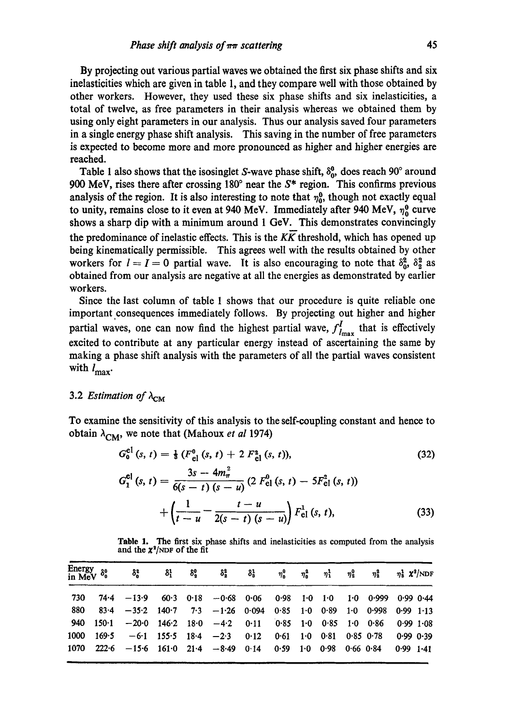By projecting out various partial waves we obtained the first six phase shifts and six inelasticities which are given in table 1, and they compare well with those obtained by other workers. However, they used these six phase shifts and six inelasticities, a total of twelve, as free parameters in their analysis whereas we obtained them by using only eight parameters in our analysis. Thus our analysis saved four parameters in a single energy phase shift analysis. This saving in the number of free parameters is expected to become more and more pronounced as higher and higher energies are reached.

Table 1 also shows that the isosinglet S-wave phase shift,  $\delta_0^0$ , does reach 90° around 900 MeV, rises there after crossing  $180^\circ$  near the  $S^*$  region. This confirms previous analysis of the region. It is also interesting to note that  $\eta_0^0$ , though not exactly equal to unity, remains close to it even at 940 MeV. Immediately after 940 MeV,  $\eta_0^0$  curve shows a sharp dip with a minimum around 1 GeV. This demonstrates convincingly the predominance of inelastic effects. This is the  $K\overline{K}$  threshold, which has opened up being kinematically permissible. This agrees well with the results obtained by other workers for  $l = I = 0$  partial wave. It is also encouraging to note that  $\delta_0^2$ ,  $\delta_2^2$  as obtained from our analysis are negative at all the energies as demonstrated by earlier workers.

Since the last column of table 1 shows that our procedure is quite reliable one important consequences immediately follows. By projecting out higher and higher partial waves, one can now find the highest partial wave,  $f_{lmax}^I$  that is effectively excited to contribute at any particular energy instead of ascertaining the same by making a phase shift analysis with the parameters of all the partial waves consistent with  $l_{\text{max}}$ .

# 3.2 *Estimation of*  $\lambda_{\text{CM}}$

,m

To examine the sensitivity of this analysis to the self-coupling constant and hence to obtain  $\lambda_{CM}$ , we note that (Mahoux *et al* 1974)

$$
G_0^{el}(s, t) = \frac{1}{8} \left( F_{el}^0(s, t) + 2 F_{el}^2(s, t) \right),
$$
\n
$$
G_1^{el}(s, t) = \frac{3s - 4m_\pi^2}{6(s - t)(s - u)} \left( 2 F_{el}^0(s, t) - 5F_{el}^2(s, t) \right)
$$
\n
$$
+ \left( \frac{1}{t - u} - \frac{t - u}{2(s - t)(s - u)} \right) F_{el}^1(s, t),
$$
\n(33)

Table 1. The first six phase shifts and inelasticities as computed from the analysis and the  $\chi^2$ /NDF of the fit

| Energy<br>in MeV<br>$\delta^0_0$ |          | $\delta_{\rm a}^{\rm g}$        | 81            | $\delta_{\bf a}^0$ | δå                                               | $\delta^1_{\rm s}$ | $\eta_{\rm n}^0$  | $\eta_n^2$ | $\eta_1^1$                 | $\eta^0_x$ | ทรี           | $\eta^1$ $\chi^2/NDF$ |
|----------------------------------|----------|---------------------------------|---------------|--------------------|--------------------------------------------------|--------------------|-------------------|------------|----------------------------|------------|---------------|-----------------------|
| 730                              | 74-4     | $-13.9$                         |               |                    | $60.3$ $0.18$ $-0.68$ $0.06$ $0.98$ $1.0$ $1.0$  |                    |                   |            |                            | 1.0        | 0.999         | $0.99$ $0.44$         |
| 880                              | $83 - 4$ |                                 | $-35.2$ 140.7 |                    | $7.3 - 1.26 0.094$                               |                    | $0.85$ 1.0 $0.89$ |            |                            | $1 - 0$    | 0.998         | $0.99$ 1.13           |
| 940                              | $150-1$  | $-20.0$                         |               |                    | $146.2$ $18.0$ $-4.2$ $0.11$ $0.85$ $1.0$ $0.85$ |                    |                   |            |                            | $1-0$      | 0.86          | $0.99$ 1.08           |
| 1000                             | 169.5    |                                 |               |                    | $-6.1$ 155.5 18.4 $-2.3$                         | 0.12               | 0.61              |            | $1.0 \quad 0.81$           |            | $0.85$ $0.78$ | $0.990$ $0.39$        |
| 1070                             | 222.6    | $-15.6$ 161.0 21.4 $-8.49$ 0.14 |               |                    |                                                  |                    | 0.59              |            | $1.0$ $0.98$ $0.66$ $0.84$ |            |               | $0.99$ 1.41           |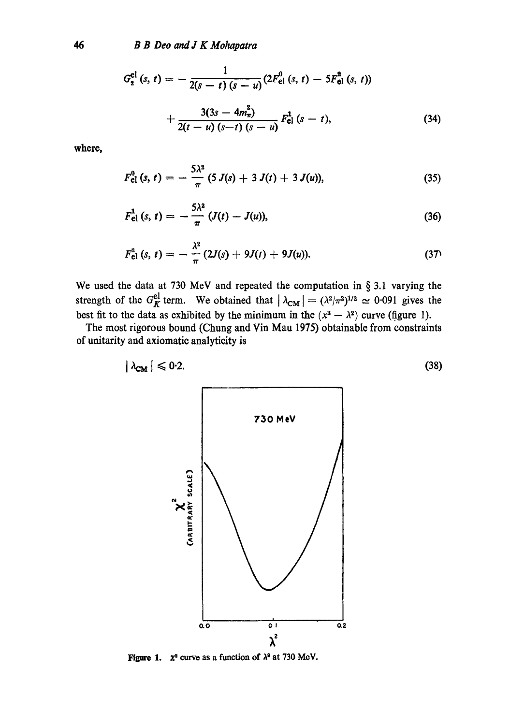$$
G_2^{\text{el}}(s, t) = -\frac{1}{2(s-t)(s-u)} (2F_{\text{el}}^0(s, t) - 5F_{\text{el}}^2(s, t)) + \frac{3(3s - 4m_\pi^2)}{2(t-u)(s-t)(s-u)} F_{\text{el}}^1(s - t), \tag{34}
$$

**where,** 

$$
F_{\text{el}}^0(s, t) = -\frac{5\lambda^2}{\pi} (5 J(s) + 3 J(t) + 3 J(u)), \qquad (35)
$$

$$
F_{\text{el}}^{1}(s, t) = -\frac{5\lambda^{2}}{\pi} (J(t) - J(u)), \qquad (36)
$$

$$
F_{\text{cl}}^2(s, t) = -\frac{\lambda^2}{\pi} (2J(s) + 9J(t) + 9J(u)).
$$
 (37)

We used the data at 730 MeV and repeated the computation in  $\S 3.1$  varying the strength of the  $G_K^{\text{el}}$  term. We obtained that  $|\lambda_{\text{CM}}| = (\lambda^2/\pi^2)^{1/2} \approx 0.091$  gives the best fit to the data as exhibited by the minimum in the  $(x^3 - \lambda^2)$  curve (figure 1).

The most rigorous bound (Chung and Vin Mau 1975) obtainable from constraints of unitarity and axiomatic analyticity is

$$
|\lambda_{\text{CM}}| \leq 0.2. \tag{38}
$$



**Figure 1.**  $\chi^2$  curve as a function of  $\lambda^2$  at 730 MeV.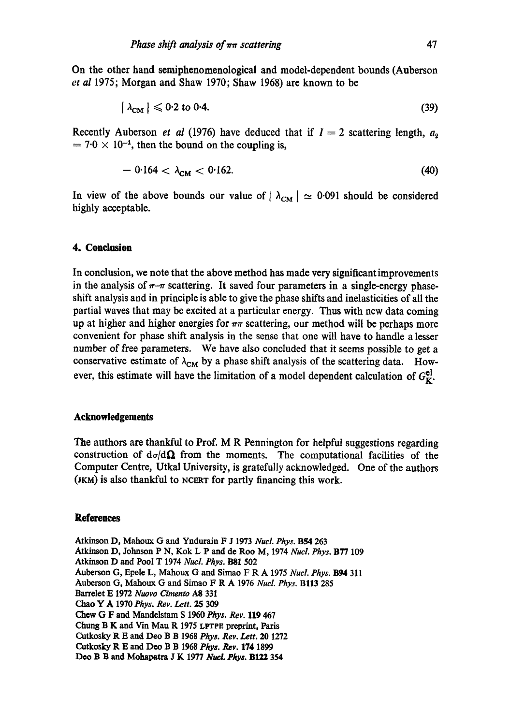**On** the other hand semiphenomenological and model-dependent bounds (Auberson *et al* 1975; Morgan and Shaw 1970; Shaw 1968) are known to be

$$
\left|\lambda_{\text{CM}}\right| \leqslant 0.2 \text{ to } 0.4. \tag{39}
$$

Recently Auberson *et al* (1976) have deduced that if  $I = 2$  scattering length,  $a_2$  $= 7.0 \times 10^{-4}$ , then the bound on the coupling is,

$$
-0.164 < \lambda_{\rm CM} < 0.162. \tag{40}
$$

In view of the above bounds our value of  $|\lambda_{CM}| \approx 0.091$  should be considered highly acceptable.

## **4. Conclusion**

In conclusion, we note that the above method has made very significant improvements in the analysis of  $\pi-\pi$  scattering. It saved four parameters in a single-energy phaseshift analysis and in principle is able to give the phase shifts and inelasticities of all the partial waves that may be excited at a particular energy. Thus with new data coming up at higher and higher energies for  $\pi\pi$  scattering, our method will be perhaps more convenient for phase shift analysis in the sense that one will have to handle a lesser number of free parameters. We have also concluded that it seems possible to get a conservative estimate of  $\lambda_{CM}$  by a phase shift analysis of the scattering data. However, this estimate will have the limitation of a model dependent calculation of  $G_V^{\text{el}}$ .

### **Acknowledgements**

The authors are thankful to Prof. M R Pennington for helpful suggestions regarding construction of  $d\sigma/d\Omega$  from the moments. The computational facilities of the Computer Centre, Utkal University, is gratefully acknowledged. One of the authors (JKM) is also thankful to NCERT for partly financing this work.

### **References**

Atkinson D, Mahoux G and Yndurain F J 1973 Nucl. Phys. B54 263 Atkinson D, Johnson P N, Kok L P and de Roe M, 1974 *Nucl. Phys.* B77 109 Atkinson D and Pool T 1974 Nucl. Phys. B81 502 Auberson G, Epele L, Mahoux G and Simao F R A 1975 *Nucl. Phys.* B94 311 Auberson G, Mahoux G and Simao F R A 1976 *Nucl. Phys.* Bl13 285 Barrelet E 1972 *Nuovo Cimento* A8 331 Chao Y A 1970 *Phys. Rev. Lett. 25 309*  Chew G F and Mandelstam S 1960 Phys. Rev. 119 467 Chung B K and Vin Mau R 1975 LPTPE preprint, Paris Cutkosky R E and Dee B B 1968 *Phys. Rev. Lett. 20* 1272 Cutkosky R E and Dee B B 1968 *Phys. Rev.* 174 1899 Deo B B and Mohapatra J K 1977 *Nucl. Phys.* B122 354